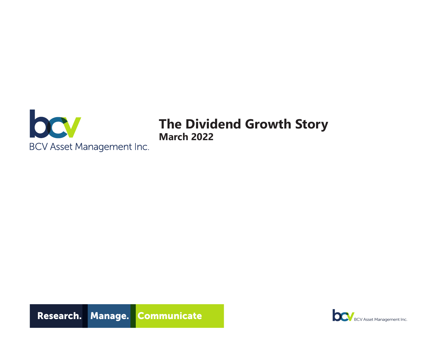

# **The Dividend Growth Story March 2022**



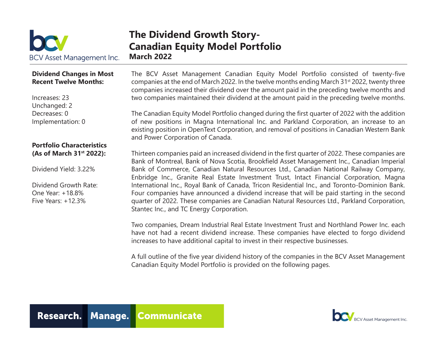

### **The Dividend Growth Story-Canadian Equity Model Portfolio March 2022**

### **Dividend Changes in Most Recent Twelve Months:**

Increases: 23 Unchanged: 2 Decreases: 0 Implementation: 0

### **Portfolio Characteristics (As of March 31st 2022):**

Dividend Yield: 3.22%

Dividend Growth Rate: One Year: +18.8% Five Years: +12.3%

The BCV Asset Management Canadian Equity Model Portfolio consisted of twenty-five companies at the end of March 2022. In the twelve months ending March 31<sup>st</sup> 2022, twenty three companies increased their dividend over the amount paid in the preceding twelve months and two companies maintained their dividend at the amount paid in the preceding twelve months.

The Canadian Equity Model Portfolio changed during the first quarter of 2022 with the addition of new positions in Magna International Inc. and Parkland Corporation, an increase to an existing position in OpenText Corporation, and removal of positions in Canadian Western Bank and Power Corporation of Canada.

Thirteen companies paid an increased dividend in the first quarter of 2022. These companies are Bank of Montreal, Bank of Nova Scotia, Brookfield Asset Management Inc., Canadian Imperial Bank of Commerce, Canadian Natural Resources Ltd., Canadian National Railway Company, Enbridge Inc., Granite Real Estate Investment Trust, Intact Financial Corporation, Magna International Inc., Royal Bank of Canada, Tricon Residential Inc., and Toronto-Dominion Bank. Four companies have announced a dividend increase that will be paid starting in the second quarter of 2022. These companies are Canadian Natural Resources Ltd., Parkland Corporation, Stantec Inc., and TC Energy Corporation.

Two companies, Dream Industrial Real Estate Investment Trust and Northland Power Inc. each have not had a recent dividend increase. These companies have elected to forgo dividend increases to have additional capital to invest in their respective businesses.

A full outline of the five year dividend history of the companies in the BCV Asset Management Canadian Equity Model Portfolio is provided on the following pages.

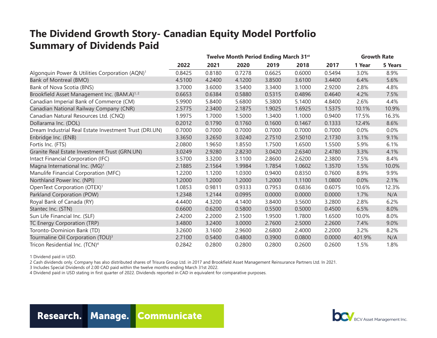## **The Dividend Growth Story- Canadian Equity Model Portfolio Summary of Dividends Paid**

|                                                            | Twelve Month Period Ending March 31 <sup>st</sup> |        |        |        |        |        |        | <b>Growth Rate</b> |  |
|------------------------------------------------------------|---------------------------------------------------|--------|--------|--------|--------|--------|--------|--------------------|--|
|                                                            | 2022                                              | 2021   | 2020   | 2019   | 2018   | 2017   | 1 Year | <b>5 Years</b>     |  |
| Algonquin Power & Utilities Corporation (AQN) <sup>1</sup> | 0.8425                                            | 0.8180 | 0.7278 | 0.6625 | 0.6000 | 0.5494 | 3.0%   | 8.9%               |  |
| Bank of Montreal (BMO)                                     | 4.5100                                            | 4.2400 | 4.1200 | 3.8500 | 3.6100 | 3.4400 | 6.4%   | 5.6%               |  |
| Bank of Nova Scotia (BNS)                                  | 3.7000                                            | 3.6000 | 3.5400 | 3.3400 | 3.1000 | 2.9200 | 2.8%   | 4.8%               |  |
| Brookfield Asset Management Inc. (BAM.A) <sup>1,2</sup>    | 0.6653                                            | 0.6384 | 0.5880 | 0.5315 | 0.4896 | 0.4640 | 4.2%   | 7.5%               |  |
| Canadian Imperial Bank of Commerce (CM)                    | 5.9900                                            | 5.8400 | 5.6800 | 5.3800 | 5.1400 | 4.8400 | 2.6%   | 4.4%               |  |
| Canadian National Railway Company (CNR)                    | 2.5775                                            | 2.3400 | 2.1875 | 1.9025 | 1.6925 | 1.5375 | 10.1%  | 10.9%              |  |
| Canadian Natural Resources Ltd. (CNQ)                      | 1.9975                                            | 1.7000 | 1.5000 | 1.3400 | 1.1000 | 0.9400 | 17.5%  | 16.3%              |  |
| Dollarama Inc. (DOL)                                       | 0.2012                                            | 0.1790 | 0.1760 | 0.1600 | 0.1467 | 0.1333 | 12.4%  | 8.6%               |  |
| Dream Industrial Real Estate Investment Trust (DRI.UN)     | 0.7000                                            | 0.7000 | 0.7000 | 0.7000 | 0.7000 | 0.7000 | 0.0%   | 0.0%               |  |
| Enbridge Inc. (ENB)                                        | 3.3650                                            | 3.2650 | 3.0240 | 2.7510 | 2.5010 | 2.1730 | 3.1%   | 9.1%               |  |
| Fortis Inc. (FTS)                                          | 2.0800                                            | 1.9650 | 1.8550 | 1.7500 | 1.6500 | 1.5500 | 5.9%   | 6.1%               |  |
| Granite Real Estate Investment Trust (GRN.UN)              | 3.0249                                            | 2.9280 | 2.8230 | 3.0420 | 2.6340 | 2.4780 | 3.3%   | 4.1%               |  |
| Intact Financial Corporation (IFC)                         | 3.5700                                            | 3.3200 | 3.1100 | 2.8600 | 2.6200 | 2.3800 | 7.5%   | 8.4%               |  |
| Magna International Inc. (MG) <sup>1</sup>                 | 2.1885                                            | 2.1564 | 1.9984 | 1.7854 | 1.0602 | 1.3570 | 1.5%   | 10.0%              |  |
| Manulife Financial Corporation (MFC)                       | 1.2200                                            | 1.1200 | 1.0300 | 0.9400 | 0.8350 | 0.7600 | 8.9%   | 9.9%               |  |
| Northland Power Inc. (NPI)                                 | 1.2000                                            | 1.2000 | 1.2000 | 1.2000 | 1.1100 | 1.0800 | 0.0%   | 2.1%               |  |
| OpenText Corporation (OTEX) <sup>1</sup>                   | 1.0853                                            | 0.9811 | 0.9333 | 0.7953 | 0.6836 | 0.6075 | 10.6%  | 12.3%              |  |
| Parkland Corporation (POW)                                 | 1.2348                                            | 1.2144 | 0.0995 | 0.0000 | 0.0000 | 0.0000 | 1.7%   | N/A                |  |
| Royal Bank of Canada (RY)                                  | 4.4400                                            | 4.3200 | 4.1400 | 3.8400 | 3.5600 | 3.2800 | 2.8%   | 6.2%               |  |
| Stantec Inc. (STN)                                         | 0.6600                                            | 0.6200 | 0.5800 | 0.5500 | 0.5000 | 0.4500 | 6.5%   | 8.0%               |  |
| Sun Life Financial Inc. (SLF)                              | 2.4200                                            | 2.2000 | 2.1500 | 1.9500 | 1.7800 | 1.6500 | 10.0%  | 8.0%               |  |
| TC Energy Corporation (TRP)                                | 3.4800                                            | 3.2400 | 3.0000 | 2.7600 | 2.5000 | 2.2600 | 7.4%   | 9.0%               |  |
| Toronto-Dominion Bank (TD)                                 | 3.2600                                            | 3.1600 | 2.9600 | 2.6800 | 2.4000 | 2.2000 | 3.2%   | 8.2%               |  |
| Tourmaline Oil Corporation (TOU) <sup>3</sup>              | 2.7100                                            | 0.5400 | 0.4800 | 0.3900 | 0.0800 | 0.0000 | 401.9% | N/A                |  |
| Tricon Residential Inc. (TCN) <sup>4</sup>                 | 0.2842                                            | 0.2800 | 0.2800 | 0.2800 | 0.2600 | 0.2600 | 1.5%   | 1.8%               |  |

1 Dividend paid in USD.

2 Cash dividends only. Company has also distributed shares of Trisura Group Ltd. in 2017 and Brookfield Asset Management Reinsurance Partners Ltd. In 2021.

3 Includes Special Dividends of 2.00 CAD paid within the twelve months ending March 31st 2022.

4 Dividend paid in USD stating in first quarter of 2022. Dividends reported in CAD in equivalent for comparative purposes.



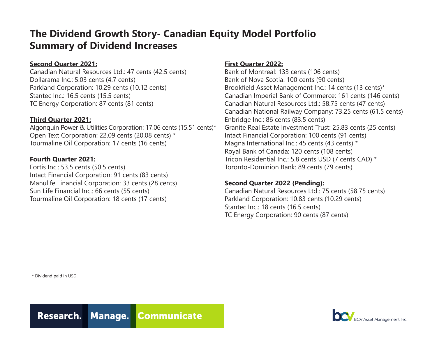## **The Dividend Growth Story- Canadian Equity Model Portfolio Summary of Dividend Increases**

### **Second Quarter 2021:**

Canadian Natural Resources Ltd.: 47 cents (42.5 cents) Dollarama Inc.: 5.03 cents (4.7 cents) Parkland Corporation: 10.29 cents (10.12 cents) Stantec Inc.: 16.5 cents (15.5 cents) TC Energy Corporation: 87 cents (81 cents)

### **Third Quarter 2021:**

Algonquin Power & Utilities Corporation: 17.06 cents (15.51 cents)\* Open Text Corporation: 22.09 cents (20.08 cents) \* Tourmaline Oil Corporation: 17 cents (16 cents)

### **Fourth Quarter 2021:**

Fortis Inc.: 53.5 cents (50.5 cents) Intact Financial Corporation: 91 cents (83 cents) Manulife Financial Corporation: 33 cents (28 cents) Sun Life Financial Inc.: 66 cents (55 cents) Tourmaline Oil Corporation: 18 cents (17 cents)

### **First Quarter 2022:**

Bank of Montreal: 133 cents (106 cents) Bank of Nova Scotia: 100 cents (90 cents) Brookfield Asset Management Inc.: 14 cents (13 cents)\* Canadian Imperial Bank of Commerce: 161 cents (146 cents) Canadian Natural Resources Ltd.: 58.75 cents (47 cents) Canadian National Railway Company: 73.25 cents (61.5 cents) Enbridge Inc.: 86 cents (83.5 cents) Granite Real Estate Investment Trust: 25.83 cents (25 cents) Intact Financial Corporation: 100 cents (91 cents) Magna International Inc.: 45 cents (43 cents) \* Royal Bank of Canada: 120 cents (108 cents) Tricon Residential Inc.: 5.8 cents USD (7 cents CAD) \* Toronto-Dominion Bank: 89 cents (79 cents)

### **Second Quarter 2022 (Pending):**

Canadian Natural Resources Ltd.: 75 cents (58.75 cents) Parkland Corporation: 10.83 cents (10.29 cents) Stantec Inc.: 18 cents (16.5 cents) TC Energy Corporation: 90 cents (87 cents)

\* Dividend paid in USD.



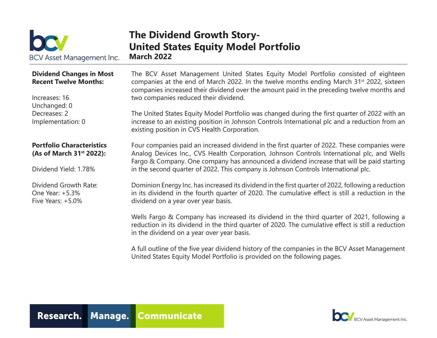

### **The Dividend Growth Story-United States Equity Model Portfolio March 2022**

### **Dividend Changes in Most Recent Twelve Months:**

Increases: 16 Unchanged: 0 Decreases: 2 Implementation: 0

### **Portfolio Characteristics (As of March 31st 2022):**

Dividend Yield: 1.78%

Dividend Growth Rate: One Year: +5.3% Five Years:  $+5.0\%$ 

The BCV Asset Management United States Equity Model Portfolio consisted of eighteen companies at the end of March 2022. In the twelve months ending March 31<sup>st</sup> 2022, sixteen companies increased their dividend over the amount paid in the preceding twelve months and two companies reduced their dividend.

The United States Equity Model Portfolio was changed during the first quarter of 2022 with an increase to an existing position in Johnson Controls International plc and a reduction from an existing position in CVS Health Corporation.

Four companies paid an increased dividend in the first quarter of 2022. These companies were Analog Devices Inc., CVS Health Corporation, Johnson Controls International plc, and Wells Fargo & Company. One company has announced a dividend increase that will be paid starting in the second quarter of 2022. This company is Johnson Controls International plc.

Dominion Energy Inc. has increased its dividend in the first quarter of 2022, following a reduction in its dividend in the fourth quarter of 2020. The cumulative effect is still a reduction in the dividend on a year over year basis.

Wells Fargo & Company has increased its dividend in the third quarter of 2021, following a reduction in its dividend in the third quarter of 2020. The cumulative effect is still a reduction in the dividend on a year over year basis.

A full outline of the five year dividend history of the companies in the BCV Asset Management United States Equity Model Portfolio is provided on the following pages.



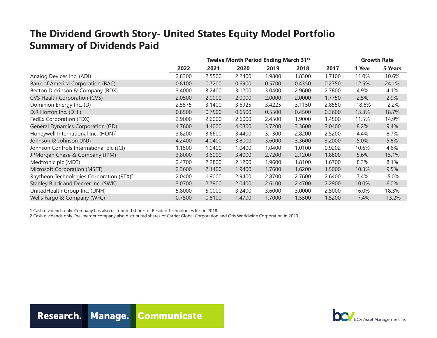## **The Dividend Growth Story- United States Equity Model Portfolio Summary of Dividends Paid**

|                                                      | Twelve Month Period Ending March 31st |        |        |        |        | <b>Growth Rate</b> |          |          |
|------------------------------------------------------|---------------------------------------|--------|--------|--------|--------|--------------------|----------|----------|
|                                                      | 2022                                  | 2021   | 2020   | 2019   | 2018   | 2017               | 1 Year   | 5 Years  |
| Analog Devices Inc. (ADI)                            | 2.8300                                | 2.5500 | 2.2400 | 1.9800 | 1.8300 | 1.7100             | 11.0%    | 10.6%    |
| <b>Bank of America Corporation (BAC)</b>             | 0.8100                                | 0.7200 | 0.6900 | 0.5700 | 0.4350 | 0.2750             | 12.5%    | 24.1%    |
| Becton Dickinson & Company (BDX)                     | 3.4000                                | 3.2400 | 3.1200 | 3.0400 | 2.9600 | 2.7800             | 4.9%     | 4.1%     |
| CVS Health Corporation (CVS)                         | 2.0500                                | 2.0000 | 2.0000 | 2.0000 | 2.0000 | 1.7750             | 2.5%     | 2.9%     |
| Dominion Energy Inc. (D)                             | 2.5575                                | 3.1400 | 3.6925 | 3.4225 | 3.1150 | 2.8550             | $-18.6%$ | $-2.2%$  |
| D.R Horton Inc. (DHI)                                | 0.8500                                | 0.7500 | 0.6500 | 0.5500 | 0.4500 | 0.3600             | 13.3%    | 18.7%    |
| FedEx Corporation (FDX)                              | 2.9000                                | 2.6000 | 2.6000 | 2.4500 | 1.9000 | 1.4500             | 11.5%    | 14.9%    |
| <b>General Dynamics Corporation (GD)</b>             | 4.7600                                | 4.4000 | 4.0800 | 3.7200 | 3.3600 | 3.0400             | 8.2%     | 9.4%     |
| Honeywell International Inc. (HON) <sup>1</sup>      | 3.8200                                | 3.6600 | 3.4400 | 3.1300 | 2.8200 | 2.5200             | 4.4%     | 8.7%     |
| Johnson & Johnson (JNJ)                              | 4.2400                                | 4.0400 | 3.8000 | 3.6000 | 3.3600 | 3.2000             | 5.0%     | 5.8%     |
| Johnson Controls International plc (JCI)             | 1.1500                                | 1.0400 | 1.0400 | 1.0400 | 1.0100 | 0.9202             | 10.6%    | 4.6%     |
| JPMorgan Chase & Company (JPM)                       | 3.8000                                | 3.6000 | 3.4000 | 2.7200 | 2.1200 | 1.8800             | 5.6%     | 15.1%    |
| Medtronic plc (MDT)                                  | 2.4700                                | 2.2800 | 2.1200 | 1.9600 | 1.8100 | 1.6700             | 8.3%     | 8.1%     |
| Microsoft Corporation (MSFT)                         | 2.3600                                | 2.1400 | 1.9400 | 1.7600 | 1.6200 | 1.5000             | 10.3%    | 9.5%     |
| Raytheon Technologies Corporation (RTX) <sup>2</sup> | 2.0400                                | 1.9000 | 2.9400 | 2.8700 | 2.7600 | 2.6400             | 7.4%     | $-5.0%$  |
| Stanley Black and Decker Inc. (SWK)                  | 3.0700                                | 2.7900 | 2.0400 | 2.6100 | 2.4700 | 2.2900             | 10.0%    | 6.0%     |
| UnitedHealth Group Inc. (UNH)                        | 5.8000                                | 5.0000 | 3.2400 | 3.6000 | 3.0000 | 2.5000             | 16.0%    | 18.3%    |
| Wells Fargo & Company (WFC)                          | 0.7500                                | 0.8100 | 1.4700 | 1.7000 | 1.5500 | 1.5200             | $-7.4\%$ | $-13.2%$ |

1 Cash dividends only. Company has also distributed shares of Resideo Technologies Inc. in 2018.

2 Cash dividends only. Pre-merger company also distributed shares of Carrier Global Corporation and Otis Worldwide Corporation in 2020.



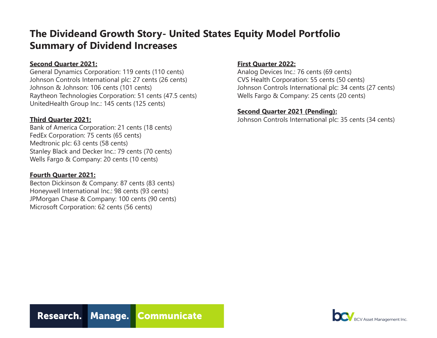## **The Divideand Growth Story- United States Equity Model Portfolio Summary of Dividend Increases**

### **Second Quarter 2021:**

General Dynamics Corporation: 119 cents (110 cents) Johnson Controls International plc: 27 cents (26 cents) Johnson & Johnson: 106 cents (101 cents) Raytheon Technologies Corporation: 51 cents (47.5 cents) UnitedHealth Group Inc.: 145 cents (125 cents)

### **Third Quarter 2021:**

Bank of America Corporation: 21 cents (18 cents) FedEx Corporation: 75 cents (65 cents) Medtronic plc: 63 cents (58 cents) Stanley Black and Decker Inc.: 79 cents (70 cents) Wells Fargo & Company: 20 cents (10 cents)

### **Fourth Quarter 2021:**

Becton Dickinson & Company: 87 cents (83 cents) Honeywell International Inc.: 98 cents (93 cents) JPMorgan Chase & Company: 100 cents (90 cents) Microsoft Corporation: 62 cents (56 cents)

### **First Quarter 2022:**

Analog Devices Inc.: 76 cents (69 cents) CVS Health Corporation: 55 cents (50 cents) Johnson Controls International plc: 34 cents (27 cents) Wells Fargo & Company: 25 cents (20 cents)

### **Second Quarter 2021 (Pending):**

Johnson Controls International plc: 35 cents (34 cents)